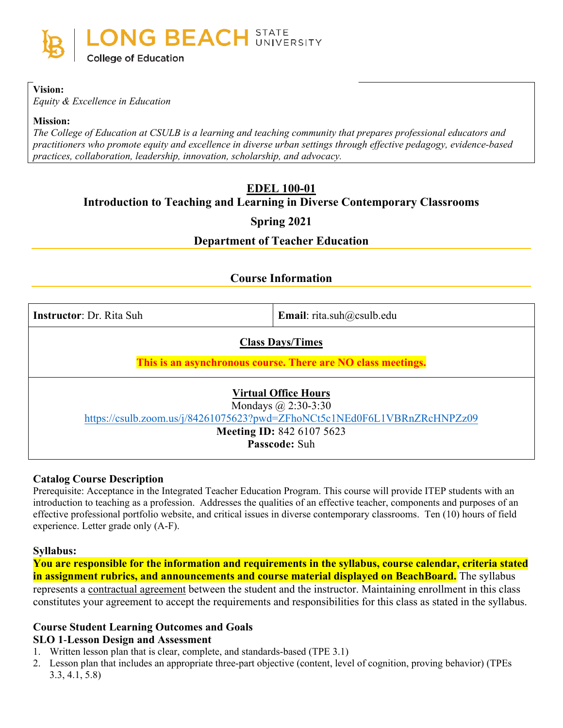

#### **Vision:**

*Equity & Excellence in Education*

#### **Mission:**

*The College of Education at CSULB is a learning and teaching community that prepares professional educators and practitioners who promote equity and excellence in diverse urban settings through effective pedagogy, evidence-based practices, collaboration, leadership, innovation, scholarship, and advocacy.*

# **EDEL 100-01**

**Introduction to Teaching and Learning in Diverse Contemporary Classrooms**

#### **Spring 2021**

#### **Department of Teacher Education**

#### **Course Information**

| <b>Instructor: Dr. Rita Suh</b> |  |  |
|---------------------------------|--|--|
|                                 |  |  |

**Email**: rita.suh@csulb.edu

#### **Class Days/Times**

**This is an asynchronous course. There are NO class meetings.**

# **Virtual Office Hours**

Mondays @ 2:30-3:30 <https://csulb.zoom.us/j/84261075623?pwd=ZFhoNCt5c1NEd0F6L1VBRnZRcHNPZz09>

# **Meeting ID:** 842 6107 5623

**Passcode:** Suh

#### **Catalog Course Description**

Prerequisite: Acceptance in the Integrated Teacher Education Program. This course will provide ITEP students with an introduction to teaching as a profession. Addresses the qualities of an effective teacher, components and purposes of an effective professional portfolio website, and critical issues in diverse contemporary classrooms. Ten (10) hours of field experience. Letter grade only (A-F).

#### **Syllabus:**

**You are responsible for the information and requirements in the syllabus, course calendar, criteria stated in assignment rubrics, and announcements and course material displayed on BeachBoard.** The syllabus represents a contractual agreement between the student and the instructor. Maintaining enrollment in this class

constitutes your agreement to accept the requirements and responsibilities for this class as stated in the syllabus.

# **Course Student Learning Outcomes and Goals**

#### **SLO 1**-**Lesson Design and Assessment**

- 1. Written lesson plan that is clear, complete, and standards-based (TPE 3.1)
- 2. Lesson plan that includes an appropriate three-part objective (content, level of cognition, proving behavior) (TPEs 3.3, 4.1, 5.8)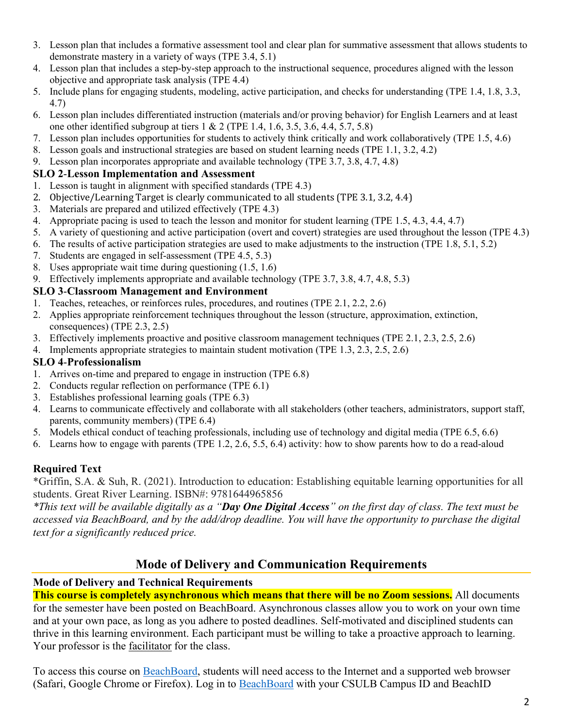- 3. Lesson plan that includes a formative assessment tool and clear plan for summative assessment that allows students to demonstrate mastery in a variety of ways (TPE 3.4, 5.1)
- 4. Lesson plan that includes a step-by-step approach to the instructional sequence, procedures aligned with the lesson objective and appropriate task analysis (TPE 4.4)
- 5. Include plans for engaging students, modeling, active participation, and checks for understanding (TPE 1.4, 1.8, 3.3, 4.7)
- 6. Lesson plan includes differentiated instruction (materials and/or proving behavior) for English Learners and at least one other identified subgroup at tiers 1 & 2 (TPE 1.4, 1.6, 3.5, 3.6, 4.4, 5.7, 5.8)
- 7. Lesson plan includes opportunities for students to actively think critically and work collaboratively (TPE 1.5, 4.6)
- 8. Lesson goals and instructional strategies are based on student learning needs (TPE 1.1, 3.2, 4.2)
- 9. Lesson plan incorporates appropriate and available technology (TPE 3.7, 3.8, 4.7, 4.8)

#### **SLO 2**-**Lesson Implementation and Assessment**

- 1. Lesson is taught in alignment with specified standards (TPE 4.3)
- 2. Objective/Learning Target is clearly communicated to all students (TPE 3.1, 3.2, 4.4)
- 3. Materials are prepared and utilized effectively (TPE 4.3)
- 4. Appropriate pacing is used to teach the lesson and monitor for student learning (TPE 1.5, 4.3, 4.4, 4.7)
- 5. A variety of questioning and active participation (overt and covert) strategies are used throughout the lesson (TPE 4.3)
- 6. The results of active participation strategies are used to make adjustments to the instruction (TPE 1.8, 5.1, 5.2)
- 7. Students are engaged in self-assessment (TPE 4.5, 5.3)
- 8. Uses appropriate wait time during questioning (1.5, 1.6)
- 9. Effectively implements appropriate and available technology (TPE 3.7, 3.8, 4.7, 4.8, 5.3)

#### **SLO 3**-**Classroom Management and Environment**

- 1. Teaches, reteaches, or reinforces rules, procedures, and routines (TPE 2.1, 2.2, 2.6)
- 2. Applies appropriate reinforcement techniques throughout the lesson (structure, approximation, extinction, consequences) (TPE 2.3, 2.5)
- 3. Effectively implements proactive and positive classroom management techniques (TPE 2.1, 2.3, 2.5, 2.6)
- 4. Implements appropriate strategies to maintain student motivation (TPE 1.3, 2.3, 2.5, 2.6)

#### **SLO 4**-**Professionalism**

- 1. Arrives on-time and prepared to engage in instruction (TPE 6.8)
- 2. Conducts regular reflection on performance (TPE 6.1)
- 3. Establishes professional learning goals (TPE 6.3)
- 4. Learns to communicate effectively and collaborate with all stakeholders (other teachers, administrators, support staff, parents, community members) (TPE 6.4)
- 5. Models ethical conduct of teaching professionals, including use of technology and digital media (TPE 6.5, 6.6)
- 6. Learns how to engage with parents (TPE 1.2, 2.6, 5.5, 6.4) activity: how to show parents how to do a read-aloud

# **Required Text**

\*Griffin, S.A. & Suh, R. (2021). Introduction to education: Establishing equitable learning opportunities for all students. Great River Learning. ISBN#: 9781644965856

*\*This text will be available digitally as a "Day One Digital Access" on the first day of class. The text must be accessed via BeachBoard, and by the add/drop deadline. You will have the opportunity to purchase the digital text for a significantly reduced price.*

# **Mode of Delivery and Communication Requirements**

#### **Mode of Delivery and Technical Requirements**

**This course is completely asynchronous which means that there will be no Zoom sessions.** All documents for the semester have been posted on BeachBoard. Asynchronous classes allow you to work on your own time and at your own pace, as long as you adhere to posted deadlines. Self-motivated and disciplined students can thrive in this learning environment. Each participant must be willing to take a proactive approach to learning. Your professor is the facilitator for the class.

To access this course on BeachBoard, students will need access to the Internet and a supported web browser (Safari, Google Chrome or Firefox). Log in to [BeachBoard](https://bbcsulb.desire2learn.com/) with your CSULB Campus ID and BeachID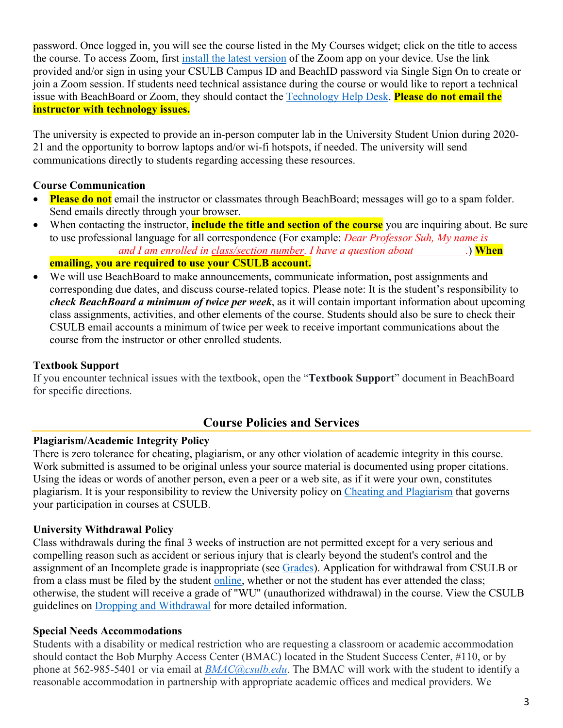password. Once logged in, you will see the course listed in the My Courses widget; click on the title to access the course. To access Zoom, first [install the latest version](https://zoom.us/download) of the Zoom app on your device. Use the link provided and/or sign in using your CSULB Campus ID and BeachID password via Single Sign On to create or join a Zoom session. If students need technical assistance during the course or would like to report a technical issue with BeachBoard or Zoom, they should contact the [Technology Help Desk.](https://www.csulb.edu/academic-technology-services/academic-technology-resources-for-students) **Please do not email the instructor with technology issues.**

The university is expected to provide an in-person computer lab in the University Student Union during 2020- 21 and the opportunity to borrow laptops and/or wi-fi hotspots, if needed. The university will send communications directly to students regarding accessing these resources.

#### **Course Communication**

- **Please do not** email the instructor or classmates through BeachBoard; messages will go to a spam folder. Send emails directly through your browser.
- When contacting the instructor, **include the title and section of the course** you are inquiring about. Be sure to use professional language for all correspondence (For example: *Dear Professor Suh, My name is and I am enrolled in class/section number. I have a question about*  $\qquad \qquad .)$  **When**

#### **emailing, you are required to use your CSULB account.**

• We will use BeachBoard to make announcements, communicate information, post assignments and corresponding due dates, and discuss course-related topics. Please note: It is the student's responsibility to *check BeachBoard a minimum of twice per week*, as it will contain important information about upcoming class assignments, activities, and other elements of the course. Students should also be sure to check their CSULB email accounts a minimum of twice per week to receive important communications about the course from the instructor or other enrolled students.

#### **Textbook Support**

If you encounter technical issues with the textbook, open the "**Textbook Support**" document in BeachBoard for specific directions.

# **Course Policies and Services**

# **Plagiarism/Academic Integrity Policy**

There is zero tolerance for cheating, plagiarism, or any other violation of academic integrity in this course. Work submitted is assumed to be original unless your source material is documented using proper citations. Using the ideas or words of another person, even a peer or a web site, as if it were your own, constitutes plagiarism. It is your responsibility to review the University policy on [Cheating and Plagiarism](http://catalog.csulb.edu/content.php?catoid=5&navoid=369#cheating-and-plagiarism) that governs your participation in courses at CSULB.

# **University Withdrawal Policy**

Class withdrawals during the final 3 weeks of instruction are not permitted except for a very serious and compelling reason such as accident or serious injury that is clearly beyond the student's control and the assignment of an Incomplete grade is inappropriate (see [Grades\)](http://www.csulb.edu/depts/enrollment/student_academic_records/grading.html). Application for withdrawal from CSULB or from a class must be filed by the student [online,](https://www.csulb.edu/student-records/dropping-and-withdrawing) whether or not the student has ever attended the class; otherwise, the student will receive a grade of "WU" (unauthorized withdrawal) in the course. View the CSULB guidelines on [Dropping and Withdrawal](https://www.csulb.edu/student-records/dropping-and-withdrawing#:%7E:text=Policy,after%20separation%20from%20the%20university.) for more detailed information.

# **Special Needs Accommodations**

Students with a disability or medical restriction who are requesting a classroom or academic accommodation should contact the Bob Murphy Access Center (BMAC) located in the Student Success Center, #110, or by phone at 562-985-5401 or via email at *[BMAC@csulb.edu](mailto:BMAC@csulb.edu)*. The BMAC will work with the student to identify a reasonable accommodation in partnership with appropriate academic offices and medical providers. We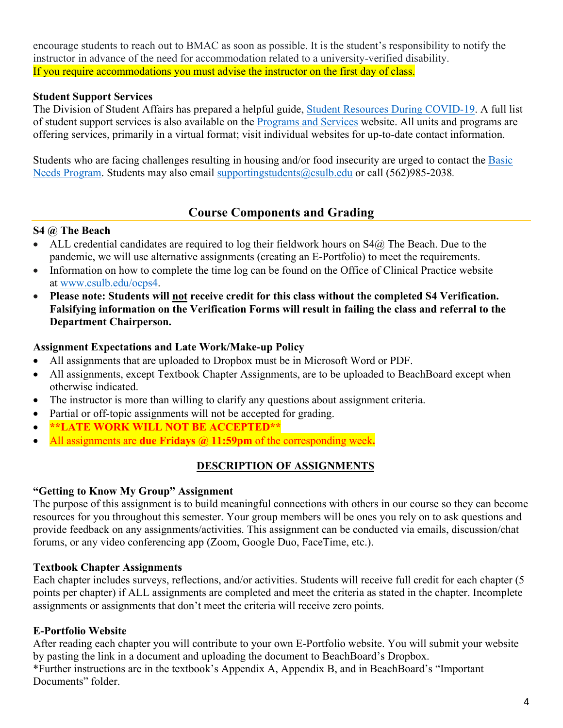encourage students to reach out to BMAC as soon as possible. It is the student's responsibility to notify the instructor in advance of the need for accommodation related to a university-verified disability. If you require accommodations you must advise the instructor on the first day of class.

#### **Student Support Services**

The Division of Student Affairs has prepared a helpful guide, [Student Resources During COVID-19.](https://rb.gy/ql7w8j) A full list of student support services is also available on the [Programs and Services](http://web.csulb.edu/divisions/students/programs.html) website. All units and programs are offering services, primarily in a virtual format; visit individual websites for up-to-date contact information.

Students who are facing challenges resulting in housing and/or food insecurity are urged to contact the [Basic](http://web.csulb.edu/divisions/students/basic_needs_program/index.html)  [Needs Program.](http://web.csulb.edu/divisions/students/basic_needs_program/index.html) Students may also email [supportingstudents@csulb.edu](mailto:supportingstudents@csulb.edu) or call (562)985-2038*.*

# **Course Components and Grading**

#### **S4 @ The Beach**

- ALL credential candidates are required to log their fieldwork hours on  $S4@$  The Beach. Due to the pandemic, we will use alternative assignments (creating an E-Portfolio) to meet the requirements.
- Information on how to complete the time log can be found on the Office of Clinical Practice website at [www.csulb.edu/ocps4.](http://www.csulb.edu/ocps4)
- **Please note: Students will not receive credit for this class without the completed S4 Verification. Falsifying information on the Verification Forms will result in failing the class and referral to the Department Chairperson.**

#### **Assignment Expectations and Late Work/Make-up Policy**

- All assignments that are uploaded to Dropbox must be in Microsoft Word or PDF.
- All assignments, except Textbook Chapter Assignments, are to be uploaded to BeachBoard except when otherwise indicated.
- The instructor is more than willing to clarify any questions about assignment criteria.
- Partial or off-topic assignments will not be accepted for grading.
- **\*\*LATE WORK WILL NOT BE ACCEPTED\*\***
- All assignments are **due Fridays @ 11:59pm** of the corresponding week**.**

# **DESCRIPTION OF ASSIGNMENTS**

# **"Getting to Know My Group" Assignment**

The purpose of this assignment is to build meaningful connections with others in our course so they can become resources for you throughout this semester. Your group members will be ones you rely on to ask questions and provide feedback on any assignments/activities. This assignment can be conducted via emails, discussion/chat forums, or any video conferencing app (Zoom, Google Duo, FaceTime, etc.).

# **Textbook Chapter Assignments**

Each chapter includes surveys, reflections, and/or activities. Students will receive full credit for each chapter (5 points per chapter) if ALL assignments are completed and meet the criteria as stated in the chapter. Incomplete assignments or assignments that don't meet the criteria will receive zero points.

# **E-Portfolio Website**

After reading each chapter you will contribute to your own E-Portfolio website. You will submit your website by pasting the link in a document and uploading the document to BeachBoard's Dropbox. \*Further instructions are in the textbook's Appendix A, Appendix B, and in BeachBoard's "Important Documents" folder.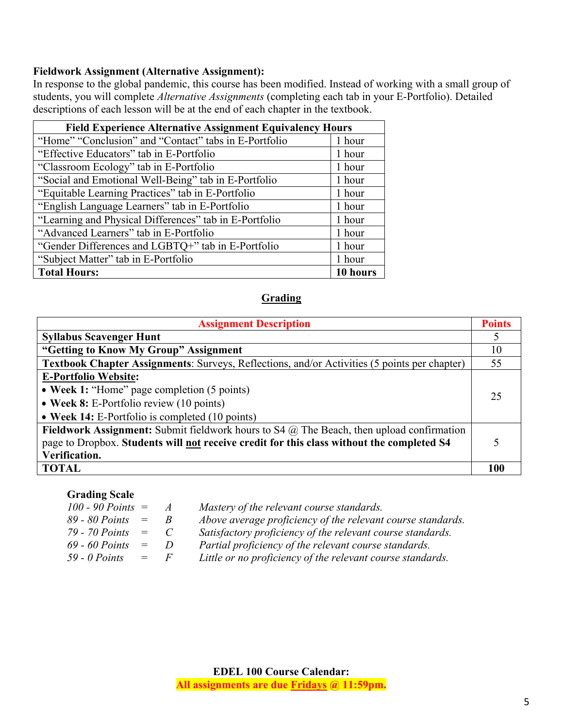#### **Fieldwork Assignment (Alternative Assignment):**

In response to the global pandemic, this course has been modified. Instead of working with a small group of students, you will complete *Alternative Assignments* (completing each tab in your E-Portfolio). Detailed descriptions of each lesson will be at the end of each chapter in the textbook.

| <b>Field Experience Alternative Assignment Equivalency Hours</b> |        |  |
|------------------------------------------------------------------|--------|--|
| "Home" "Conclusion" and "Contact" tabs in E-Portfolio            |        |  |
| "Effective Educators" tab in E-Portfolio                         |        |  |
| "Classroom Ecology" tab in E-Portfolio                           |        |  |
| "Social and Emotional Well-Being" tab in E-Portfolio             |        |  |
| "Equitable Learning Practices" tab in E-Portfolio                |        |  |
| "English Language Learners" tab in E-Portfolio                   |        |  |
| "Learning and Physical Differences" tab in E-Portfolio           |        |  |
| "Advanced Learners" tab in E-Portfolio                           |        |  |
| "Gender Differences and LGBTQ+" tab in E-Portfolio               |        |  |
| "Subject Matter" tab in E-Portfolio                              | 1 hour |  |
| <b>Total Hours:</b>                                              |        |  |

#### **Grading**

| <b>Assignment Description</b>                                                                       |     |
|-----------------------------------------------------------------------------------------------------|-----|
| <b>Syllabus Scavenger Hunt</b>                                                                      |     |
| "Getting to Know My Group" Assignment                                                               | 10  |
| <b>Textbook Chapter Assignments:</b> Surveys, Reflections, and/or Activities (5 points per chapter) | 55  |
| <b>E-Portfolio Website:</b>                                                                         |     |
| • Week 1: "Home" page completion (5 points)                                                         |     |
| • Week 8: E-Portfolio review (10 points)                                                            |     |
| • Week 14: E-Portfolio is completed (10 points)                                                     |     |
| Fieldwork Assignment: Submit fieldwork hours to S4 $\omega$ The Beach, then upload confirmation     |     |
| page to Dropbox. Students will not receive credit for this class without the completed S4           |     |
| Verification.                                                                                       |     |
| <b>TOTAL</b>                                                                                        | 100 |

#### **Grading Scale**

| $100 - 90$ Points $=$  |         | $\overline{A}$ | Mastery of the relevant course standards.                   |
|------------------------|---------|----------------|-------------------------------------------------------------|
| $89 - 80$ Points $=$   |         | $R_{\perp}$    | Above average proficiency of the relevant course standards. |
| $79 - 70$ Points $=$ C |         |                | Satisfactory proficiency of the relevant course standards.  |
| $69 - 60$ Points $=$   |         | $\overline{D}$ | Partial proficiency of the relevant course standards.       |
| $59 - 0$ Points        | $=$ $F$ |                | Little or no proficiency of the relevant course standards.  |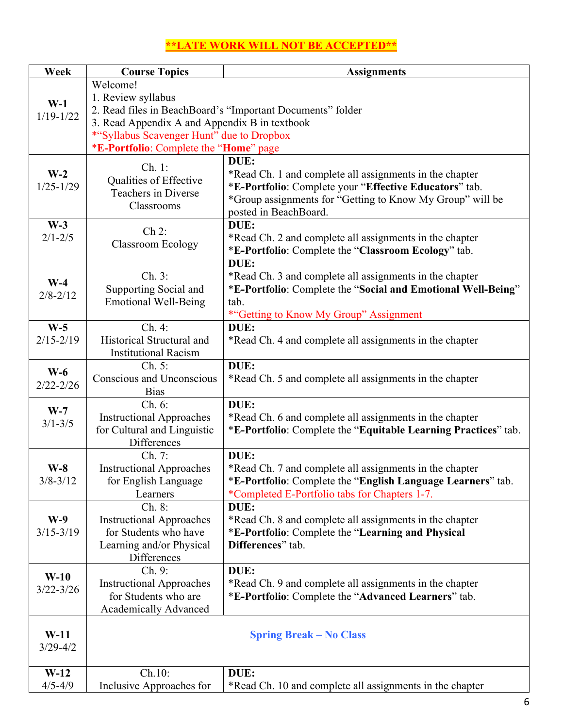# **\*\*LATE WORK WILL NOT BE ACCEPTED\*\***

| Week                   | <b>Course Topics</b>                                       | <b>Assignments</b>                                             |  |  |  |
|------------------------|------------------------------------------------------------|----------------------------------------------------------------|--|--|--|
|                        | Welcome!                                                   |                                                                |  |  |  |
| $W-1$                  | 1. Review syllabus                                         |                                                                |  |  |  |
| $1/19 - 1/22$          | 2. Read files in BeachBoard's "Important Documents" folder |                                                                |  |  |  |
|                        | 3. Read Appendix A and Appendix B in textbook              |                                                                |  |  |  |
|                        | *"Syllabus Scavenger Hunt" due to Dropbox                  |                                                                |  |  |  |
|                        |                                                            | *E-Portfolio: Complete the "Home" page                         |  |  |  |
|                        | Ch. 1:                                                     | DUE:                                                           |  |  |  |
| $W-2$                  | Qualities of Effective                                     | *Read Ch. 1 and complete all assignments in the chapter        |  |  |  |
| $1/25 - 1/29$          | Teachers in Diverse                                        | *E-Portfolio: Complete your "Effective Educators" tab.         |  |  |  |
|                        | Classrooms                                                 | *Group assignments for "Getting to Know My Group" will be      |  |  |  |
|                        |                                                            | posted in BeachBoard.                                          |  |  |  |
| $W-3$                  | Ch 2:                                                      | DUE:                                                           |  |  |  |
| $2/1 - 2/5$            | <b>Classroom Ecology</b>                                   | *Read Ch. 2 and complete all assignments in the chapter        |  |  |  |
|                        |                                                            | *E-Portfolio: Complete the "Classroom Ecology" tab.            |  |  |  |
|                        |                                                            | DUE:                                                           |  |  |  |
| $W-4$                  | Ch. 3:                                                     | *Read Ch. 3 and complete all assignments in the chapter        |  |  |  |
| $2/8 - 2/12$           | Supporting Social and                                      | *E-Portfolio: Complete the "Social and Emotional Well-Being"   |  |  |  |
|                        | <b>Emotional Well-Being</b>                                | tab.                                                           |  |  |  |
|                        |                                                            | *"Getting to Know My Group" Assignment                         |  |  |  |
| $W-5$                  | Ch. 4:                                                     | DUE:                                                           |  |  |  |
| $2/15 - 2/19$          | Historical Structural and<br><b>Institutional Racism</b>   | *Read Ch. 4 and complete all assignments in the chapter        |  |  |  |
|                        | Ch. 5:                                                     | DUE:                                                           |  |  |  |
| $W-6$                  | <b>Conscious and Unconscious</b>                           | *Read Ch. 5 and complete all assignments in the chapter        |  |  |  |
| $2/22 - 2/26$          | <b>Bias</b>                                                |                                                                |  |  |  |
|                        | Ch. 6:                                                     | DUE:                                                           |  |  |  |
| $W-7$                  | <b>Instructional Approaches</b>                            | *Read Ch. 6 and complete all assignments in the chapter        |  |  |  |
| $3/1 - 3/5$            | for Cultural and Linguistic                                | *E-Portfolio: Complete the "Equitable Learning Practices" tab. |  |  |  |
|                        | Differences                                                |                                                                |  |  |  |
|                        | Ch. 7:                                                     | DUE:                                                           |  |  |  |
| $W-8$                  | <b>Instructional Approaches</b>                            | *Read Ch. 7 and complete all assignments in the chapter        |  |  |  |
| $3/8 - 3/12$           | for English Language                                       | *E-Portfolio: Complete the "English Language Learners" tab.    |  |  |  |
|                        | Learners                                                   | *Completed E-Portfolio tabs for Chapters 1-7.                  |  |  |  |
|                        | Ch. 8:                                                     | DUE:                                                           |  |  |  |
| $W-9$                  | <b>Instructional Approaches</b>                            | *Read Ch. 8 and complete all assignments in the chapter        |  |  |  |
| $3/15 - 3/19$          | for Students who have                                      | *E-Portfolio: Complete the "Learning and Physical              |  |  |  |
|                        | Learning and/or Physical                                   | Differences" tab.                                              |  |  |  |
|                        | <b>Differences</b>                                         |                                                                |  |  |  |
| $W-10$                 | Ch. 9:                                                     | DUE:                                                           |  |  |  |
| $3/22 - 3/26$          | <b>Instructional Approaches</b>                            | *Read Ch. 9 and complete all assignments in the chapter        |  |  |  |
|                        | for Students who are                                       | *E-Portfolio: Complete the "Advanced Learners" tab.            |  |  |  |
|                        | <b>Academically Advanced</b>                               |                                                                |  |  |  |
|                        |                                                            |                                                                |  |  |  |
| $W-11$<br>$3/29 - 4/2$ | <b>Spring Break – No Class</b>                             |                                                                |  |  |  |
|                        |                                                            |                                                                |  |  |  |
| $W-12$                 | Ch.10:                                                     | DUE:                                                           |  |  |  |
| $4/5 - 4/9$            | Inclusive Approaches for                                   | *Read Ch. 10 and complete all assignments in the chapter       |  |  |  |